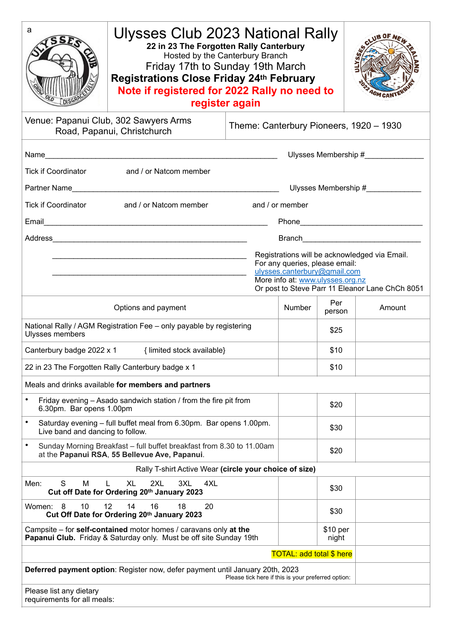| a<br>Ulysses Club 2023 National Rally<br>22 in 23 The Forgotten Rally Canterbury<br>Hosted by the Canterbury Branch<br>Friday 17th to Sunday 19th March<br><b>Registrations Close Friday 24th February</b><br>Note if registered for 2022 Rally no need to<br>register again |  |        |                   |        |
|------------------------------------------------------------------------------------------------------------------------------------------------------------------------------------------------------------------------------------------------------------------------------|--|--------|-------------------|--------|
| Venue: Papanui Club, 302 Sawyers Arms<br>Theme: Canterbury Pioneers, 1920 - 1930<br>Road, Papanui, Christchurch                                                                                                                                                              |  |        |                   |        |
| Tick if Coordinator and / or Natcom member                                                                                                                                                                                                                                   |  |        |                   |        |
| Ulysses Membership #                                                                                                                                                                                                                                                         |  |        |                   |        |
| Tick if Coordinator and / or Natcom member<br>and / or member                                                                                                                                                                                                                |  |        |                   |        |
|                                                                                                                                                                                                                                                                              |  |        |                   |        |
| Registrations will be acknowledged via Email.<br>For any queries, please email:<br>ulysses.canterbury@gmail.com<br>More info at: www.ulysses.org.nz<br>Or post to Steve Parr 11 Eleanor Lane ChCh 8051                                                                       |  |        |                   |        |
| Options and payment                                                                                                                                                                                                                                                          |  | Number | Per<br>person     | Amount |
| National Rally / AGM Registration Fee - only payable by registering<br>Ulysses members                                                                                                                                                                                       |  |        | \$25              |        |
| Canterbury badge 2022 x 1 {limited stock available}                                                                                                                                                                                                                          |  |        | \$10              |        |
| 22 in 23 The Forgotten Rally Canterbury badge x 1                                                                                                                                                                                                                            |  |        | \$10              |        |
| Meals and drinks available for members and partners                                                                                                                                                                                                                          |  |        |                   |        |
| $\bullet$<br>Friday evening - Asado sandwich station / from the fire pit from<br>6.30pm. Bar opens 1.00pm                                                                                                                                                                    |  |        | \$20              |        |
| Saturday evening - full buffet meal from 6.30pm. Bar opens 1.00pm.<br>$\bullet$<br>Live band and dancing to follow.                                                                                                                                                          |  |        | \$30              |        |
| $\bullet$<br>Sunday Morning Breakfast - full buffet breakfast from 8.30 to 11.00am<br>at the Papanui RSA, 55 Bellevue Ave, Papanui.                                                                                                                                          |  |        | \$20              |        |
| Rally T-shirt Active Wear (circle your choice of size)                                                                                                                                                                                                                       |  |        |                   |        |
| S<br>M<br><b>XL</b><br>2XL<br>3XL<br>4XL<br>Men:<br>L<br>Cut off Date for Ordering 20th January 2023                                                                                                                                                                         |  |        | \$30              |        |
| 10<br>12<br>8<br>14<br>16<br>18<br>20<br>Women:<br>Cut Off Date for Ordering 20th January 2023                                                                                                                                                                               |  |        | \$30              |        |
| Campsite – for self-contained motor homes / caravans only at the<br>Papanui Club. Friday & Saturday only. Must be off site Sunday 19th                                                                                                                                       |  |        | \$10 per<br>night |        |
| <b>TOTAL: add total \$ here</b>                                                                                                                                                                                                                                              |  |        |                   |        |
| Deferred payment option: Register now, defer payment until January 20th, 2023<br>Please tick here if this is your preferred option:                                                                                                                                          |  |        |                   |        |
| Please list any dietary<br>requirements for all meals:                                                                                                                                                                                                                       |  |        |                   |        |